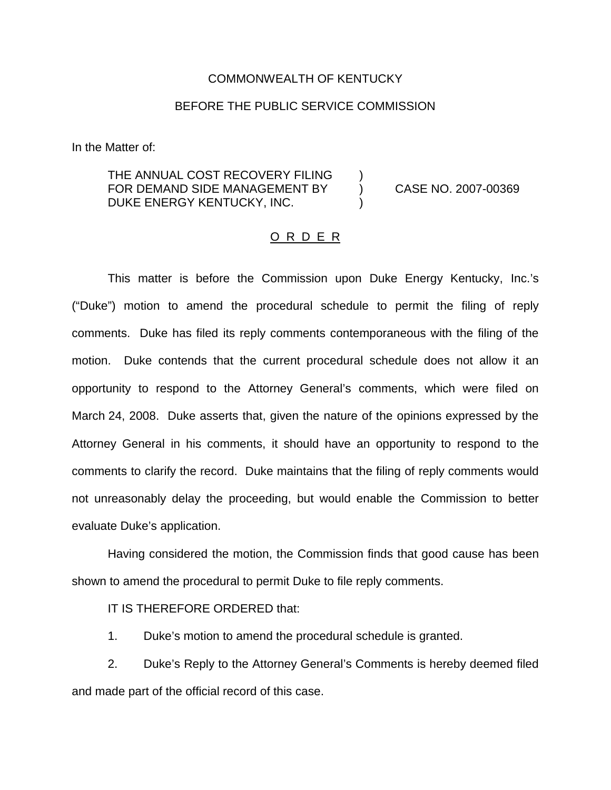## COMMONWEALTH OF KENTUCKY

## BEFORE THE PUBLIC SERVICE COMMISSION

In the Matter of:

## THE ANNUAL COST RECOVERY FILING FOR DEMAND SIDE MANAGEMENT BY (CASE NO. 2007-00369) DUKE ENERGY KENTUCKY, INC.

## O R D E R

This matter is before the Commission upon Duke Energy Kentucky, Inc.'s ("Duke") motion to amend the procedural schedule to permit the filing of reply comments. Duke has filed its reply comments contemporaneous with the filing of the motion. Duke contends that the current procedural schedule does not allow it an opportunity to respond to the Attorney General's comments, which were filed on March 24, 2008. Duke asserts that, given the nature of the opinions expressed by the Attorney General in his comments, it should have an opportunity to respond to the comments to clarify the record. Duke maintains that the filing of reply comments would not unreasonably delay the proceeding, but would enable the Commission to better evaluate Duke's application.

Having considered the motion, the Commission finds that good cause has been shown to amend the procedural to permit Duke to file reply comments.

IT IS THEREFORE ORDERED that:

1. Duke's motion to amend the procedural schedule is granted.

2. Duke's Reply to the Attorney General's Comments is hereby deemed filed and made part of the official record of this case.